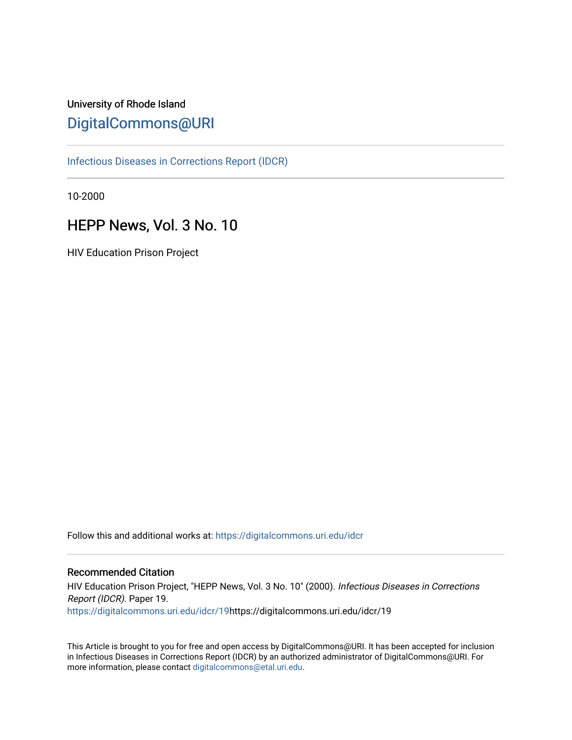# University of Rhode Island [DigitalCommons@URI](https://digitalcommons.uri.edu/)

[Infectious Diseases in Corrections Report \(IDCR\)](https://digitalcommons.uri.edu/idcr)

10-2000

# HEPP News, Vol. 3 No. 10

HIV Education Prison Project

Follow this and additional works at: [https://digitalcommons.uri.edu/idcr](https://digitalcommons.uri.edu/idcr?utm_source=digitalcommons.uri.edu%2Fidcr%2F19&utm_medium=PDF&utm_campaign=PDFCoverPages)

## Recommended Citation

HIV Education Prison Project, "HEPP News, Vol. 3 No. 10" (2000). Infectious Diseases in Corrections Report (IDCR). Paper 19. [https://digitalcommons.uri.edu/idcr/19h](https://digitalcommons.uri.edu/idcr/19?utm_source=digitalcommons.uri.edu%2Fidcr%2F19&utm_medium=PDF&utm_campaign=PDFCoverPages)ttps://digitalcommons.uri.edu/idcr/19

This Article is brought to you for free and open access by DigitalCommons@URI. It has been accepted for inclusion in Infectious Diseases in Corrections Report (IDCR) by an authorized administrator of DigitalCommons@URI. For more information, please contact [digitalcommons@etal.uri.edu.](mailto:digitalcommons@etal.uri.edu)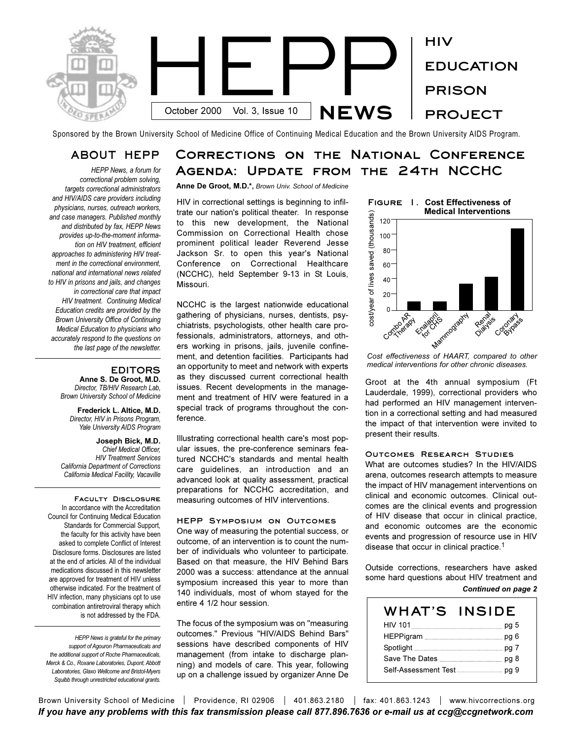

Sponsored by the Brown University School of Medicine Office of Continuing Medical Education and the Brown University AIDS Program.

## **ABOUT HEPP**

*HEPP News, a forum for correctional problem solving, targets correctional administrators and HIV/AIDS care providers including physicians, nurses, outreach workers, and case managers. Published monthly and distributed by fax, HEPP News provides up-to-the-moment information on HIV treatment, efficient approaches to administering HIV treatment in the correctional environment, national and international news related to HIV in prisons and jails, and changes in correctional care that impact HIV treatment. Continuing Medical Education credits are provided by the Brown University Office of Continuing Medical Education to physicians who accurately respond to the questions on the last page of the newsletter.* 

#### **EDITORS**

**Anne S. De Groot, M.D.** *Director, TB/HIV Research Lab, Brown University School of Medicine*

**Frederick L. Altice, M.D.** *Director, HIV in Prisons Program, Yale University AIDS Program*

**Joseph Bick, M.D.** *Chief Medical Officer, HIV Treatment Services California Department of Corrections California Medical Facility, Vacaville*

**Faculty Disclosure**  In accordance with the Accreditation Council for Continuing Medical Education Standards for Commercial Support, the faculty for this activity have been asked to complete Conflict of Interest Disclosure forms. Disclosures are listed at the end of articles. All of the individual medications discussed in this newsletter are approved for treatment of HIV unless otherwise indicated. For the treatment of HIV infection, many physicians opt to use combination antiretroviral therapy which is not addressed by the FDA.

*HEPP News is grateful for the primary support of Agouron Pharmaceuticals and the additional support of Roche Pharmaceuticals, Merck & Co., Roxane Laboratories, Dupont, Abbott Laboratories, Glaxo Wellcome and Bristol-Myers Squibb through unrestricted educational grants.*

# **Corrections on the National Conference Agenda: Update from the 24th NCCHC**

**Anne De Groot, M.D.\*,** *Brown Univ. School of Medicine*

HIV in correctional settings is beginning to infiltrate our nation's political theater. In response to this new development, the National Commission on Correctional Health chose prominent political leader Reverend Jesse Jackson Sr. to open this year's National Conference on Correctional Healthcare (NCCHC), held September 9-13 in St Louis, Missouri.

NCCHC is the largest nationwide educational gathering of physicians, nurses, dentists, psychiatrists, psychologists, other health care professionals, administrators, attorneys, and others working in prisons, jails, juvenile confinement, and detention facilities. Participants had an opportunity to meet and network with experts as they discussed current correctional health issues. Recent developments in the management and treatment of HIV were featured in a special track of programs throughout the conference.

Illustrating correctional health care's most popular issues, the pre-conference seminars featured NCCHC's standards and mental health care guidelines, an introduction and an advanced look at quality assessment, practical preparations for NCCHC accreditation, and measuring outcomes of HIV interventions.

#### **HEPP Symposium on Outcomes**

One way of measuring the potential success, or outcome, of an intervention is to count the number of individuals who volunteer to participate. Based on that measure, the HIV Behind Bars 2000 was a success: attendance at the annual symposium increased this year to more than 140 individuals, most of whom stayed for the entire 4 1/2 hour session.

The focus of the symposium was on "measuring outcomes." Previous "HIV/AIDS Behind Bars" sessions have described components of HIV management (from intake to discharge planning) and models of care. This year, following up on a challenge issued by organizer Anne De



*Cost effectiveness of HAART, compared to other medical interventions for other chronic diseases.*

Groot at the 4th annual symposium (Ft Lauderdale, 1999), correctional providers who had performed an HIV management intervention in a correctional setting and had measured the impact of that intervention were invited to present their results.

#### **Outcomes Research Studies**

What are outcomes studies? In the HIV/AIDS arena, outcomes research attempts to measure the impact of HIV management interventions on clinical and economic outcomes. Clinical outcomes are the clinical events and progression of HIV disease that occur in clinical practice, and economic outcomes are the economic events and progression of resource use in HIV disease that occur in clinical practice.1

Outside corrections, researchers have asked some hard questions about HIV treatment and

#### *Continued on page 2*

| WHAT'S | <b>INSIDE</b> |
|--------|---------------|
|        | pg 5          |
|        |               |
|        |               |
|        |               |
|        |               |

Brown University School of Medicine | Providence, RI 02906 | 401.863.2180 | fax: 401.863.1243 | www.hivcorrections.org *If you have any problems with this fax transmission please call 877.896.7636 or e-mail us at ccg@ccgnetwork.com*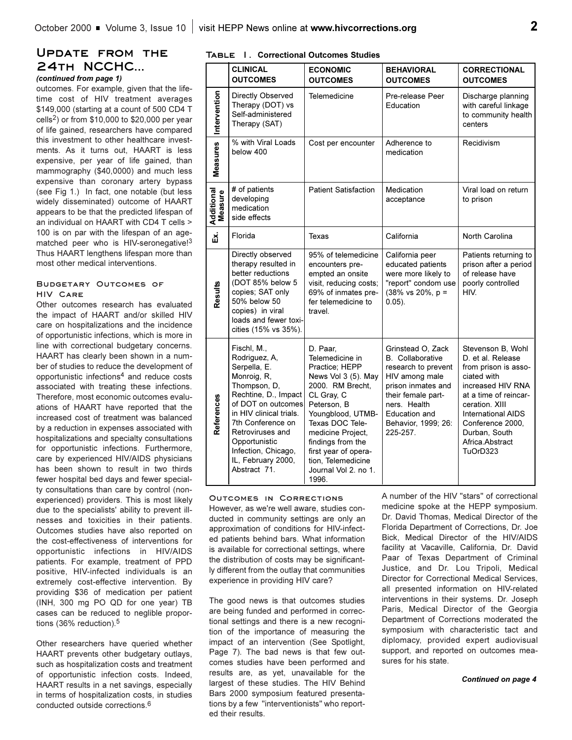## **Update from the 24th NCCHC...**

## *(continued from page 1)*

outcomes. For example, given that the lifetime cost of HIV treatment averages \$149,000 (starting at a count of 500 CD4 T cells<sup>2</sup>) or from  $$10,000$  to  $$20,000$  per year of life gained, researchers have compared this investment to other healthcare investments. As it turns out, HAART is less expensive, per year of life gained, than mammography (\$40,0000) and much less expensive than coronary artery bypass (see Fig 1.) In fact, one notable (but less widely disseminated) outcome of HAART appears to be that the predicted lifespan of an individual on HAART with CD4 T cells > 100 is on par with the lifespan of an agematched peer who is HIV-seronegative!<sup>3</sup> Thus HAART lengthens lifespan more than most other medical interventions.

#### **Budgetary Outcomes of HIV Care**

Other outcomes research has evaluated the impact of HAART and/or skilled HIV care on hospitalizations and the incidence of opportunistic infections, which is more in line with correctional budgetary concerns. HAART has clearly been shown in a number of studies to reduce the development of opportunistic infections4 and reduce costs associated with treating these infections. Therefore, most economic outcomes evaluations of HAART have reported that the increased cost of treatment was balanced by a reduction in expenses associated with hospitalizations and specialty consultations for opportunistic infections. Furthermore, care by experienced HIV/AIDS physicians has been shown to result in two thirds fewer hospital bed days and fewer specialty consultations than care by control (nonexperienced) providers. This is most likely due to the specialists' ability to prevent illnesses and toxicities in their patients. Outcomes studies have also reported on the cost-effectiveness of interventions for opportunistic infections in HIV/AIDS patients. For example, treatment of PPD positive, HIV-infected individuals is an extremely cost-effective intervention. By providing \$36 of medication per patient (INH, 300 mg PO QD for one year) TB cases can be reduced to neglible proportions (36% reduction).<sup>5</sup>

Other researchers have queried whether HAART prevents other budgetary outlays, such as hospitalization costs and treatment of opportunistic infection costs. Indeed, HAART results in a net savings, especially in terms of hospitalization costs, in studies conducted outside corrections.6

#### **Table 1. Correctional Outcomes Studies**

|                       | <b>CLINICAL</b><br><b>OUTCOMES</b>                                                                                                                                                                                                                                                                                                                                                                                                                                                                                                                                    | <b>ECONOMIC</b><br><b>OUTCOMES</b>                                                                                                            | <b>BEHAVIORAL</b><br><b>OUTCOMES</b>                                                                                                                                                                  | <b>CORRECTIONAL</b><br><b>OUTCOMES</b>                                                                                                                                                                                                         |
|-----------------------|-----------------------------------------------------------------------------------------------------------------------------------------------------------------------------------------------------------------------------------------------------------------------------------------------------------------------------------------------------------------------------------------------------------------------------------------------------------------------------------------------------------------------------------------------------------------------|-----------------------------------------------------------------------------------------------------------------------------------------------|-------------------------------------------------------------------------------------------------------------------------------------------------------------------------------------------------------|------------------------------------------------------------------------------------------------------------------------------------------------------------------------------------------------------------------------------------------------|
| Intervention          | Directly Observed<br>Therapy (DOT) vs<br>Self-administered<br>Therapy (SAT)                                                                                                                                                                                                                                                                                                                                                                                                                                                                                           | Telemedicine                                                                                                                                  | Pre-release Peer<br>Education                                                                                                                                                                         | Discharge planning<br>with careful linkage<br>to community health<br>centers                                                                                                                                                                   |
| Measures              | % with Viral Loads<br>below 400                                                                                                                                                                                                                                                                                                                                                                                                                                                                                                                                       | Cost per encounter                                                                                                                            | Adherence to<br>medication                                                                                                                                                                            | Recidivism                                                                                                                                                                                                                                     |
| Additional<br>Measure | # of patients<br>developing<br>medication<br>side effects                                                                                                                                                                                                                                                                                                                                                                                                                                                                                                             | <b>Patient Satisfaction</b>                                                                                                                   | Medication<br>acceptance                                                                                                                                                                              | Viral load on return<br>to prison                                                                                                                                                                                                              |
| <u>ລັ</u>             | Florida                                                                                                                                                                                                                                                                                                                                                                                                                                                                                                                                                               | Texas                                                                                                                                         | California                                                                                                                                                                                            | North Carolina                                                                                                                                                                                                                                 |
| Results               | Directly observed<br>therapy resulted in<br>better reductions<br>(DOT 85% below 5<br>copies; SAT only<br>50% below 50<br>copies) in viral<br>loads and fewer toxi-<br>cities (15% vs 35%).                                                                                                                                                                                                                                                                                                                                                                            | 95% of telemedicine<br>encounters pre-<br>empted an onsite<br>visit, reducing costs;<br>69% of inmates pre-<br>fer telemedicine to<br>travel. | California peer<br>educated patients<br>were more likely to<br>"report" condom use<br>$(38\% \text{ vs } 20\%, \text{ p }=$<br>$0.05$ ).                                                              | Patients returning to<br>prison after a period<br>of release have<br>poorly controlled<br>HIV.                                                                                                                                                 |
| References            | Fischl, M.,<br>D. Paar,<br>Rodriguez, A,<br>Telemedicine in<br>Serpella, E.<br>Practice; HEPP<br>Monroig, R,<br>News Vol 3 (5). May<br>Thompson, D,<br>2000. RM Brecht,<br>Rechtine, D., Impact<br>CL Gray, C<br>of DOT on outcomes<br>Peterson, B<br>in HIV clinical trials.<br>Youngblood, UTMB-<br>Texas DOC Tele-<br>7th Conference on<br>Retroviruses and<br>medicine Project,<br>Opportunistic<br>findings from the<br>Infection, Chicago,<br>first year of opera-<br>IL, February 2000,<br>tion, Telemedicine<br>Abstract 71.<br>Journal Vol 2. no 1.<br>1996. |                                                                                                                                               | Grinstead O, Zack<br><b>B.</b> Collaborative<br>research to prevent<br>HIV among male<br>prison inmates and<br>their female part-<br>ners. Health<br>Education and<br>Behavior, 1999; 26:<br>225-257. | Stevenson B, Wohl<br>D. et al. Release<br>from prison is asso-<br>ciated with<br>increased HIV RNA<br>at a time of reincar-<br>ceration. XIII<br><b>International AIDS</b><br>Conference 2000,<br>Durban, South<br>Africa.Abstract<br>TuOrD323 |

#### **Outcomes in Corrections**

However, as we're well aware, studies conducted in community settings are only an approximation of conditions for HIV-infected patients behind bars. What information is available for correctional settings, where the distribution of costs may be significantly different from the outlay that communities experience in providing HIV care?

The good news is that outcomes studies are being funded and performed in correctional settings and there is a new recognition of the importance of measuring the impact of an intervention (See Spotlight, Page 7). The bad news is that few outcomes studies have been performed and results are, as yet, unavailable for the largest of these studies. The HIV Behind Bars 2000 symposium featured presentations by a few "interventionists" who reported their results.

A number of the HIV "stars" of correctional medicine spoke at the HEPP symposium. Dr. David Thomas, Medical Director of the Florida Department of Corrections, Dr. Joe Bick, Medical Director of the HIV/AIDS facility at Vacaville, California, Dr. David Paar of Texas Department of Criminal Justice, and Dr. Lou Tripoli, Medical Director for Correctional Medical Services, all presented information on HIV-related interventions in their systems. Dr. Joseph Paris, Medical Director of the Georgia Department of Corrections moderated the symposium with characteristic tact and diplomacy, provided expert audiovisual support, and reported on outcomes measures for his state.

*Continued on page 4*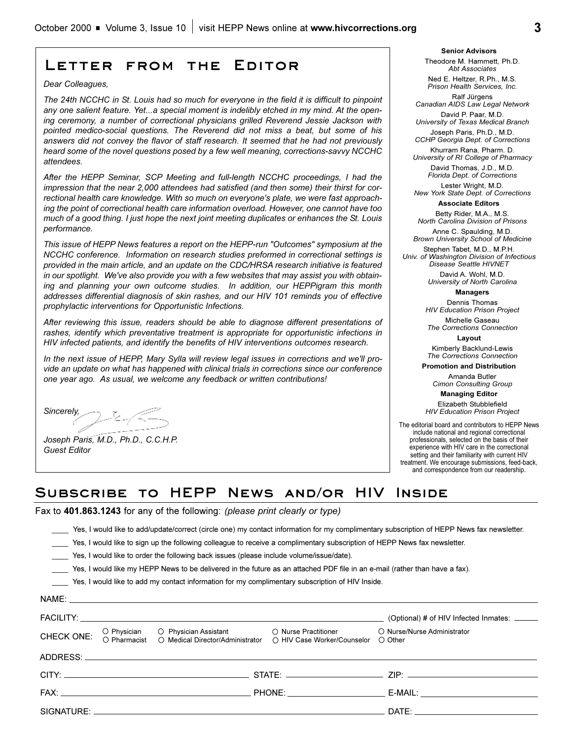## **Letter from the Editor**

*Dear Colleagues,*

*The 24th NCCHC in St. Louis had so much for everyone in the field it is difficult to pinpoint any one salient feature. Yet...a special moment is indelibly etched in my mind. At the opening ceremony, a number of correctional physicians grilled Reverend Jessie Jackson with pointed medico-social questions. The Reverend did not miss a beat, but some of his answers did not convey the flavor of staff research. It seemed that he had not previously heard some of the novel questions posed by a few well meaning, corrections-savvy NCCHC attendees.*

*After the HEPP Seminar, SCP Meeting and full-length NCCHC proceedings, I had the impression that the near 2,000 attendees had satisfied (and then some) their thirst for correctional health care knowledge. With so much on everyone's plate, we were fast approaching the point of correctional health care information overload. However, one cannot have too much of a good thing. I just hope the next joint meeting duplicates or enhances the St. Louis performance.*

*This issue of HEPP News features a report on the HEPP-run "Outcomes" symposium at the NCCHC conference. Information on research studies preformed in correctional settings is provided in the main article, and an update on the CDC/HRSA research initiative is featured in our spotlight. We've also provide you with a few websites that may assist you with obtaining and planning your own outcome studies. In addition, our HEPPigram this month addresses differential diagnosis of skin rashes, and our HIV 101 reminds you of effective prophylactic interventions for Opportunistic Infections.*

*After reviewing this issue, readers should be able to diagnose different presentations of rashes, identify which preventative treatment is appropriate for opportunistic infections in HIV infected patients, and identify the benefits of HIV interventions outcomes research.*

*In the next issue of HEPP, Mary Sylla will review legal issues in corrections and we'll provide an update on what has happened with clinical trials in corrections since our conference one year ago. As usual, we welcome any feedback or written contributions!*

*Sincerely,*  $2 - 7$ 

*Joseph Paris, M.D., Ph.D., C.C.H.P. Guest Editor*

**Senior Advisors** Theodore M. Hammett, Ph.D. *Abt Associates*

Ned E. Heltzer, R.Ph., M.S. *Prison Health Services, Inc.*

Ralf Jürgens *Canadian AIDS Law Legal Network* David P. Paar, M.D.

*University of Texas Medical Branch* Joseph Paris, Ph.D., M.D.

*CCHP Georgia Dept. of Corrections*  Khurram Rana, Pharm. D.

*University of RI College of Pharmacy* David Thomas, J.D., M.D. *Florida Dept. of Corrections*

Lester Wright, M.D. *New York State Dept. of Corrections*

**Associate Editors**

Betty Rider, M.A., M.S. *North Carolina Division of Prisons*

Anne C. Spaulding, M.D. *Brown University School of Medicine*

Stephen Tabet, M.D., M.P.H. *Univ. of Washington Division of Infectious Disease Seattle HIVNET*

> David A. Wohl, M.D. *University of North Carolina*

> > **Managers** Dennis Thomas

*HIV Education Prison Project*

Michelle Gaseau *The Corrections Connection*

**Layout** Kimberly Backlund-Lewis

*The Corrections Connection*

**Promotion and Distribution**

Amanda Butler *Cimon Consulting Group*

**Managing Editor** 

Elizabeth Stubblefield *HIV Education Prison Project*

The editorial board and contributors to HEPP News include national and regional correctional professionals, selected on the basis of their experience with HIV care in the correctional setting and their familiarity with current HIV treatment. We encourage submissions, feed-back, and correspondence from our readership.

## **Subscribe to HEPP News and/or HIV Inside**

Fax to **401.863.1243** for any of the following: *(please print clearly or type)*

\_\_\_\_ Yes, I would like to add/update/correct (circle one) my contact information for my complimentary subscription of HEPP News fax newsletter.

Yes, I would like to sign up the following colleague to receive a complimentary subscription of HEPP News fax newsletter.

\_\_\_\_ Yes, I would like to order the following back issues (please include volume/issue/date).

\_\_\_\_ Yes, I would like my HEPP News to be delivered in the future as an attached PDF file in an e-mail (rather than have a fax).

\_\_\_\_ Yes, I would like to add my contact information for my complimentary subscription of HIV Inside.

|            | NAME: |                                                                                                                                     |                                                                                                                                                                                                                                |
|------------|-------|-------------------------------------------------------------------------------------------------------------------------------------|--------------------------------------------------------------------------------------------------------------------------------------------------------------------------------------------------------------------------------|
|            |       |                                                                                                                                     | (Optional) # of HIV Infected Inmates: ______                                                                                                                                                                                   |
| CHECK ONE: |       | O Physician O Physician Assistant O Nurse Practitioner<br>O Pharmacist O Medical Director/Administrator O HIV Case Worker/Counselor | O Nurse/Nurse Administrator<br>◯ Other                                                                                                                                                                                         |
|            |       |                                                                                                                                     |                                                                                                                                                                                                                                |
|            |       |                                                                                                                                     |                                                                                                                                                                                                                                |
|            |       |                                                                                                                                     | E-MAIL: The contract of the contract of the contract of the contract of the contract of the contract of the contract of the contract of the contract of the contract of the contract of the contract of the contract of the co |
|            |       |                                                                                                                                     | DATE: the contract of the contract of the contract of the contract of the contract of the contract of the contract of the contract of the contract of the contract of the contract of the contract of the contract of the cont |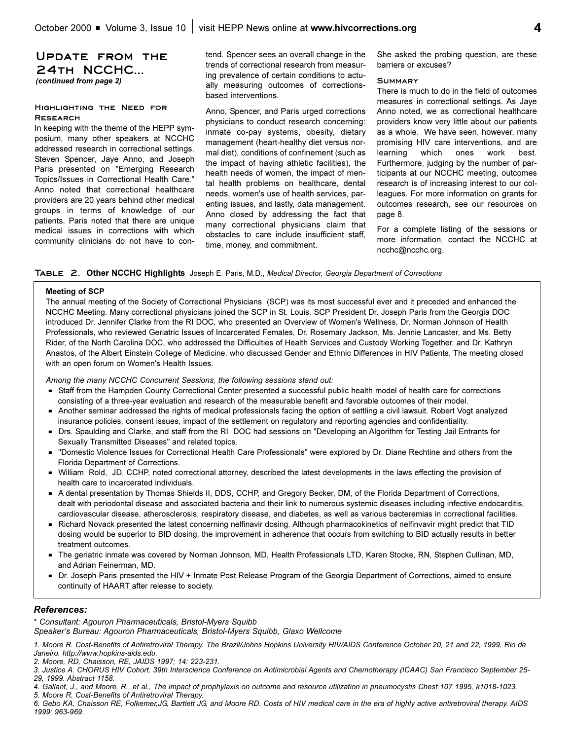## **Update from the 24th NCCHC...**  *(continued from page 2)*

#### **Highlighting the Need for Research**

In keeping with the theme of the HEPP symposium, many other speakers at NCCHC addressed research in correctional settings. Steven Spencer, Jaye Anno, and Joseph Paris presented on "Emerging Research Topics/Issues in Correctional Health Care." Anno noted that correctional healthcare providers are 20 years behind other medical groups in terms of knowledge of our patients. Paris noted that there are unique medical issues in corrections with which community clinicians do not have to contend. Spencer sees an overall change in the trends of correctional research from measuring prevalence of certain conditions to actually measuring outcomes of correctionsbased interventions.

Anno, Spencer, and Paris urged corrections physicians to conduct research concerning: inmate co-pay systems, obesity, dietary management (heart-healthy diet versus normal diet), conditions of confinement (such as the impact of having athletic facilities), the health needs of women, the impact of mental health problems on healthcare, dental needs, women's use of health services, parenting issues, and lastly, data management. Anno closed by addressing the fact that many correctional physicians claim that obstacles to care include insufficient staff, time, money, and commitment.

She asked the probing question, are these barriers or excuses?

#### **Summary**

There is much to do in the field of outcomes measures in correctional settings. As Jaye Anno noted, we as correctional healthcare providers know very little about our patients as a whole. We have seen, however, many promising HIV care interventions, and are learning which ones work best. Furthermore, judging by the number of participants at our NCCHC meeting, outcomes research is of increasing interest to our colleagues. For more information on grants for outcomes research, see our resources on page 8.

For a complete listing of the sessions or more information, contact the NCCHC at ncchc@ncchc.org.

#### **Table 2. Other NCCHC Highlights** Joseph E. Paris, M.D., *Medical Director, Georgia Department of Corrections*

#### **Meeting of SCP**

The annual meeting of the Society of Correctional Physicians (SCP) was its most successful ever and it preceded and enhanced the NCCHC Meeting. Many correctional physicians joined the SCP in St. Louis. SCP President Dr. Joseph Paris from the Georgia DOC introduced Dr. Jennifer Clarke from the RI DOC, who presented an Overview of Women's Wellness, Dr. Norman Johnson of Health Professionals, who reviewed Geriatric Issues of Incarcerated Females, Dr. Rosemary Jackson, Ms. Jennie Lancaster, and Ms. Betty Rider, of the North Carolina DOC, who addressed the Difficulties of Health Services and Custody Working Together, and Dr. Kathryn Anastos, of the Albert Einstein College of Medicine, who discussed Gender and Ethnic Differences in HIV Patients. The meeting closed with an open forum on Women's Health Issues.

*Among the many NCCHC Concurrent Sessions, the following sessions stand out:*

- Staff from the Hampden County Correctional Center presented a successful public health model of health care for corrections consisting of a three-year evaluation and research of the measurable benefit and favorable outcomes of their model.
- Another seminar addressed the rights of medical professionals facing the option of settling a civil lawsuit. Robert Vogt analyzed insurance policies, consent issues, impact of the settlement on regulatory and reporting agencies and confidentiality.
- Drs. Spaulding and Clarke, and staff from the RI DOC had sessions on "Developing an Algorithm for Testing Jail Entrants for Sexually Transmitted Diseases" and related topics.
- "Domestic Violence Issues for Correctional Health Care Professionals" were explored by Dr. Diane Rechtine and others from the Florida Department of Corrections.
- William Rold, JD, CCHP, noted correctional attorney, described the latest developments in the laws effecting the provision of health care to incarcerated individuals.
- A dental presentation by Thomas Shields II, DDS, CCHP, and Gregory Becker, DM, of the Florida Department of Corrections, dealt with periodontal disease and associated bacteria and their link to numerous systemic diseases including infective endocarditis, cardiovascular disease, atherosclerosis, respiratory disease, and diabetes, as well as various bacteremias in correctional facilities.
- Kichard Novack presented the latest concerning nelfinavir dosing. Although pharmacokinetics of nelfinvavir might predict that TID dosing would be superior to BID dosing, the improvement in adherence that occurs from switching to BID actually results in better treatment outcomes.
- The geriatric inmate was covered by Norman Johnson, MD, Health Professionals LTD, Karen Stocke, RN, Stephen Cullinan, MD, and Adrian Feinerman, MD.
- Dr. Joseph Paris presented the HIV + Inmate Post Release Program of the Georgia Department of Corrections, aimed to ensure continuity of HAART after release to society.

#### *References:*

\* *Consultant: Agouron Pharmaceuticals, Bristol-Myers Squibb*

Speaker's Bureau: Agouron Pharmaceuticals, Bristol-Myers Squibb, Glaxo Wellcome

*1. Moore R. Cost-Benefits of Antiretroviral Therapy. The Brazil/Johns Hopkins University HIV/AIDS Conference October 20, 21 and 22, 1999, Rio de Janeiro. http://www.hopkins-aids.edu.*

*2. Moore, RD, Chaisson, RE, JAIDS 1997; 14: 223-231.*

*5. Moore R. Cost-Benefits of Antiretroviral Therapy.* 

*6. Gebo KA, Chaisson RE, Folkemer,JG, Bartlett JG, and Moore RD. Costs of HIV medical care in the era of highly active antiretroviral therapy. AIDS 1999; 963-969.*

*<sup>3.</sup> Justice A. CHORUS HIV Cohort. 39th Interscience Conference on Antimicrobial Agents and Chemotherapy (ICAAC) San Francisco September 25- 29, 1999. Abstract 1158.* 

*<sup>4.</sup> Gallant, J., and Moore, R., et al., The impact of prophylaxis on outcome and resource utilization in pneumocystis Chest 107 1995, k1018-1023.*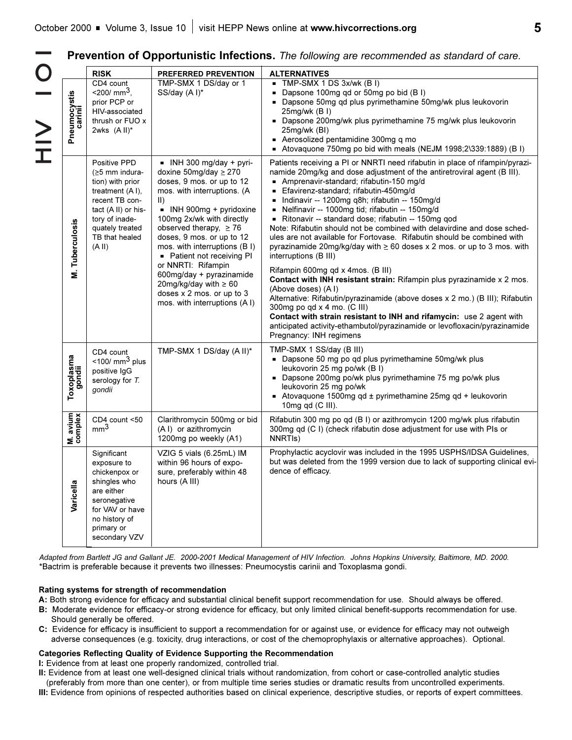**Prevention of Opportunistic Infections.** *The following are recommended as standard of care.*

|                         | <b>RISK</b>                                                                                                                                                                       | PREFERRED PREVENTION                                                                                                                                                                                                                                                                                                                                                                                                                                                               | <b>ALTERNATIVES</b>                                                                                                                                                                                                                                                                                                                                                                                                                                                                                                                                                                                                                                                                                                                                                                                                                                                                                                                                                                                                                                                                                        |
|-------------------------|-----------------------------------------------------------------------------------------------------------------------------------------------------------------------------------|------------------------------------------------------------------------------------------------------------------------------------------------------------------------------------------------------------------------------------------------------------------------------------------------------------------------------------------------------------------------------------------------------------------------------------------------------------------------------------|------------------------------------------------------------------------------------------------------------------------------------------------------------------------------------------------------------------------------------------------------------------------------------------------------------------------------------------------------------------------------------------------------------------------------------------------------------------------------------------------------------------------------------------------------------------------------------------------------------------------------------------------------------------------------------------------------------------------------------------------------------------------------------------------------------------------------------------------------------------------------------------------------------------------------------------------------------------------------------------------------------------------------------------------------------------------------------------------------------|
| Pneumocystis<br>carinii | CD4 count<br>$<$ 200/ mm <sup>3</sup> ,<br>prior PCP or<br>HIV-associated<br>thrush or FUO x<br>2wks $(A II)^*$                                                                   | TMP-SMX 1 DS/day or 1<br>SS/day (A I)*                                                                                                                                                                                                                                                                                                                                                                                                                                             | $\blacksquare$ TMP-SMX 1 DS 3x/wk (B I)<br>Dapsone 100mg qd or 50mg po bid (B I)<br>- Dapsone 50mg qd plus pyrimethamine 50mg/wk plus leukovorin<br>25mg/wk (B I)<br>Dapsone 200mg/wk plus pyrimethamine 75 mg/wk plus leukovorin<br>25mg/wk (BI)<br>- Aerosolized pentamidine 300mg q mo<br>Atovaquone 750mg po bid with meals (NEJM 1998;2\339:1889) (B I)                                                                                                                                                                                                                                                                                                                                                                                                                                                                                                                                                                                                                                                                                                                                               |
| M. Tuberculosis         | Positive PPD<br>$(≥5$ mm indura-<br>tion) with prior<br>treatment (AI),<br>recent TB con-<br>tact (A II) or his-<br>tory of inade-<br>quately treated<br>TB that healed<br>(A II) | $\blacksquare$ INH 300 mg/day + pyri-<br>doxine 50mg/day $\geq$ 270<br>doses, 9 mos. or up to 12<br>mos. with interruptions. (A<br>$\vert \vert$<br>- INH 900mg + pyridoxine<br>100mg 2x/wk with directly<br>observed therapy, $\geq 76$<br>doses, 9 mos. or up to 12<br>mos. with interruptions (B I)<br>• Patient not receiving PI<br>or NNRTI: Rifampin<br>600mg/day + pyrazinamide<br>20mg/kg/day with $\geq 60$<br>doses x 2 mos. or up to 3<br>mos. with interruptions (A I) | Patients receiving a PI or NNRTI need rifabutin in place of rifampin/pyrazi-<br>namide 20mg/kg and dose adjustment of the antiretroviral agent (B III).<br>- Amprenavir-standard; rifabutin-150 mg/d<br>Efavirenz-standard; rifabutin-450mg/d<br>- Indinavir -- 1200mg q8h; rifabutin -- 150mg/d<br>Nelfinavir -- 1000mg tid; rifabutin -- 150mg/d<br>Ritonavir -- standard dose; rifabutin -- 150mg qod<br>Note: Rifabutin should not be combined with delavirdine and dose sched-<br>ules are not available for Fortovase. Rifabutin should be combined with<br>pyrazinamide 20mg/kg/day with $\geq 60$ doses x 2 mos. or up to 3 mos. with<br>interruptions (B III)<br>Rifampin 600mg qd x 4mos. (B III)<br>Contact with INH resistant strain: Rifampin plus pyrazinamide x 2 mos.<br>(Above doses) (AI)<br>Alternative: Rifabutin/pyrazinamide (above doses x 2 mo.) (B III); Rifabutin<br>300mg po qd x 4 mo. (C III)<br>Contact with strain resistant to INH and rifamycin: use 2 agent with<br>anticipated activity-ethambutol/pyrazinamide or levofloxacin/pyrazinamide<br>Pregnancy: INH regimens |
| Toxoplasma<br>gondii    | CD4 count<br>$<$ 100/ mm <sup>3</sup> plus<br>positive IgG<br>serology for T.<br>gondii                                                                                           | TMP-SMX 1 DS/day (A II)*                                                                                                                                                                                                                                                                                                                                                                                                                                                           | TMP-SMX 1 SS/day (B III)<br>- Dapsone 50 mg po qd plus pyrimethamine 50mg/wk plus<br>leukovorin 25 mg po/wk (B I)<br>Dapsone 200mg po/wk plus pyrimethamine 75 mg po/wk plus<br>leukovorin 25 mg po/wk<br>Atovaquone 1500mg qd ± pyrimethamine 25mg qd + leukovorin<br>10 $mg$ qd (C III).                                                                                                                                                                                                                                                                                                                                                                                                                                                                                                                                                                                                                                                                                                                                                                                                                 |
| M. avium                | CD4 count <50<br>mm <sup>3</sup>                                                                                                                                                  | Clarithromycin 500mg or bid<br>(A I) or azithromycin<br>1200mg po weekly (A1)                                                                                                                                                                                                                                                                                                                                                                                                      | Rifabutin 300 mg po qd (B I) or azithromycin 1200 mg/wk plus rifabutin<br>300mg qd (C I) (check rifabutin dose adjustment for use with PIs or<br>NNRTIs)                                                                                                                                                                                                                                                                                                                                                                                                                                                                                                                                                                                                                                                                                                                                                                                                                                                                                                                                                   |
| Varicella               | Significant<br>exposure to<br>chickenpox or<br>shingles who<br>are either<br>seronegative<br>for VAV or have<br>no history of<br>primary or<br>secondary VZV                      | VZIG 5 vials (6.25mL) IM<br>within 96 hours of expo-<br>sure, preferably within 48<br>hours (A III)                                                                                                                                                                                                                                                                                                                                                                                | Prophylactic acyclovir was included in the 1995 USPHS/IDSA Guidelines,<br>but was deleted from the 1999 version due to lack of supporting clinical evi-<br>dence of efficacy.                                                                                                                                                                                                                                                                                                                                                                                                                                                                                                                                                                                                                                                                                                                                                                                                                                                                                                                              |

*Adapted from Bartlett JG and Gallant JE. 2000-2001 Medical Management of HIV Infection. Johns Hopkins University, Baltimore, MD. 2000.* \*Bactrim is preferable because it prevents two illnesses: Pneumocystis carinii and Toxoplasma gondi.

#### **Rating systems for strength of recommendation**

- **A:** Both strong evidence for efficacy and substantial clinical benefit support recommendation for use. Should always be offered.
- **B:** Moderate evidence for efficacy-or strong evidence for efficacy, but only limited clinical benefit-supports recommendation for use. Should generally be offered.
- **C:** Evidence for efficacy is insufficient to support a recommendation for or against use, or evidence for efficacy may not outweigh adverse consequences (e.g. toxicity, drug interactions, or cost of the chemoprophylaxis or alternative approaches). Optional.

#### **Categories Reflecting Quality of Evidence Supporting the Recommendation**

**I:** Evidence from at least one properly randomized, controlled trial.

- **II:** Evidence from at least one well-designed clinical trials without randomization, from cohort or case-controlled analytic studies
- (preferably from more than one center), or from multiple time series studies or dramatic results from uncontrolled experiments.
- **III:** Evidence from opinions of respected authorities based on clinical experience, descriptive studies, or reports of expert committees.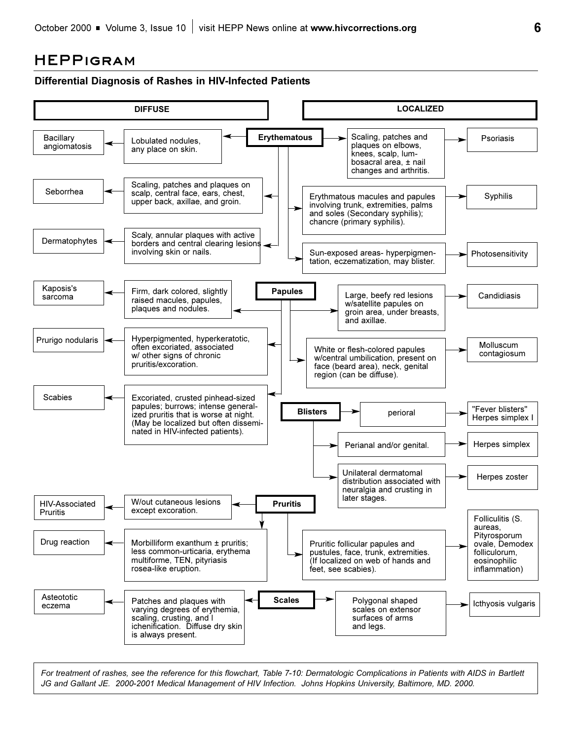## **HEPPigram**



*For treatment of rashes, see the reference for this flowchart, Table 7-10: Dermatologic Complications in Patients with AIDS in Bartlett JG and Gallant JE. 2000-2001 Medical Management of HIV Infection. Johns Hopkins University, Baltimore, MD. 2000.*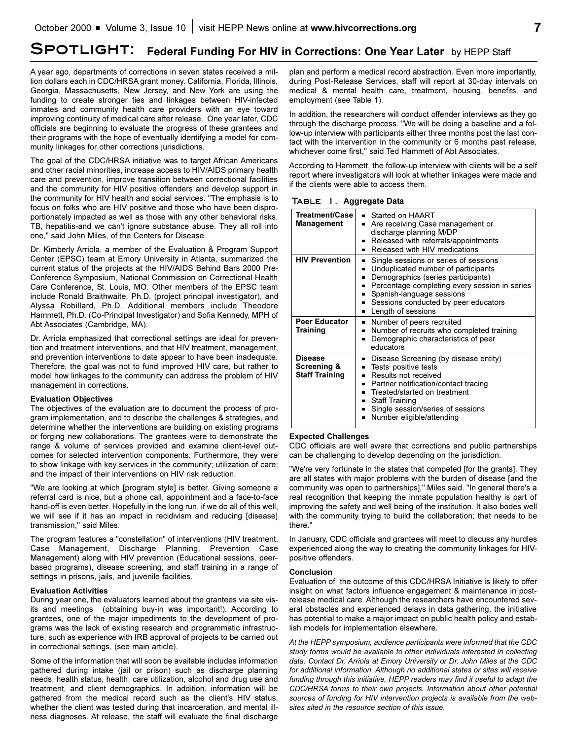# SPOTLIGHT: Federal Funding For HIV in Corrections: One Year Later by HEPP Staff

A year ago, departments of corrections in seven states received a million dollars each in CDC/HRSA grant money. California, Florida, Illinois, Georgia, Massachusetts, New Jersey, and New York are using the funding to create stronger ties and linkages between HIV-infected inmates and community health care providers with an eye toward improving continuity of medical care after release. One year later, CDC officials are beginning to evaluate the progress of these grantees and their programs with the hope of eventually identifying a model for community linkages for other corrections jurisdictions.

The goal of the CDC/HRSA initiative was to target African Americans and other racial minorities, increase access to HIV/AIDS primary health care and prevention, improve transition between correctional facilities and the community for HIV positive offenders and develop support in the community for HIV health and social services. "The emphasis is to focus on folks who are HIV positive and those who have been disproportionately impacted as well as those with any other behavioral risks, TB, hepatitis-and we can't ignore substance abuse. They all roll into one," said John Miles, of the Centers for Disease.

Dr. Kimberly Arriola, a member of the Evaluation & Program Support Center (EPSC) team at Emory University in Atlanta, summarized the current status of the projects at the HIV/AIDS Behind Bars 2000 Pre-Conference Symposium, National Commission on Correctional Health Care Conference, St. Louis, MO. Other members of the EPSC team include Ronald Braithwaite, Ph.D. (project principal investigator), and Alyssa Robillard, Ph.D. Additional members include Theodore Hammett, Ph.D. (Co-Principal Investigator) and Sofia Kennedy, MPH of Abt Associates (Cambridge, MA).

Dr. Arriola emphasized that correctional settings are ideal for prevention and treatment interventions, and that HIV treatment, management, and prevention interventions to date appear to have been inadequate. Therefore, the goal was not to fund improved HIV care, but rather to model how linkages to the community can address the problem of HIV management in corrections.

#### **Evaluation Objectives**

The objectives of the evaluation are to document the process of program implementation, and to describe the challenges & strategies, and determine whether the interventions are building on existing programs or forging new collaborations. The grantees were to demonstrate the range & volume of services provided and examine client-level outcomes for selected intervention components. Furthermore, they were to show linkage with key services in the community; utilization of care; and the impact of their interventions on HIV risk reduction.

"We are looking at which [program style] is better. Giving someone a referral card is nice, but a phone call, appointment and a face-to-face hand-off is even better. Hopefully in the long run, if we do all of this well, we will see if it has an impact in recidivism and reducing [disease] transmission," said Miles.

The program features a "constellation" of interventions (HIV treatment, Case Management, Discharge Planning, Prevention Case Management) along with HIV prevention (Educational sessions, peerbased programs), disease screening, and staff training in a range of settings in prisons, jails, and juvenile facilities.

#### **Evaluation Activities**

During year one, the evaluators learned about the grantees via site visits and meetings (obtaining buy-in was important!). According to grantees, one of the major impediments to the development of programs was the lack of existing research and programmatic infrastructure, such as experience with IRB approval of projects to be carried out in correctional settings, (see main article).

Some of the information that will soon be available includes information gathered during intake (jail or prison) such as discharge planning needs, health status, health care utilization, alcohol and drug use and treatment, and client demographics. In addition, information will be gathered from the medical record such as the client's HIV status, whether the client was tested during that incarceration, and mental illness diagnoses. At release, the staff will evaluate the final discharge

plan and perform a medical record abstraction. Even more importantly, during Post-Release Services, staff will report at 30-day intervals on medical & mental health care, treatment, housing, benefits, and employment (see Table 1).

In addition, the researchers will conduct offender interviews as they go through the discharge process. "We will be doing a baseline and a follow-up interview with participants either three months post the last contact with the intervention in the community or 6 months past release, whichever come first," said Ted Hammett of Abt Associates.

According to Hammett, the follow-up interview with clients will be a self report where investigators will look at whether linkages were made and if the clients were able to access them.

**Table 1. Aggregate Data** 

| Treatment/Case<br><b>Management</b>             | $\blacksquare$ Started on HAART<br>Are receiving Case management or<br>discharge planning M/DP<br>Released with referrals/appointments<br>п<br>Released with HIV medications<br>▪                                                                                                              |
|-------------------------------------------------|------------------------------------------------------------------------------------------------------------------------------------------------------------------------------------------------------------------------------------------------------------------------------------------------|
| <b>HIV Prevention</b>                           | Single sessions or series of sessions<br>п<br>Unduplicated number of participants<br>٠<br>Demographics (series participants)<br>٠<br>Percentage completing every session in series<br>٠<br>Spanish-language sessions<br>٠<br>■ Sessions conducted by peer educators<br>Length of sessions<br>٠ |
| <b>Peer Educator</b><br>Training                | Number of peers recruited<br>٠<br>• Number of recruits who completed training<br>Demographic characteristics of peer<br>$\blacksquare$<br>educators                                                                                                                                            |
| Disease<br>Screening &<br><b>Staff Training</b> | Disease Screening (by disease entity)<br>▪<br>Tests positive tests<br>$\blacksquare$<br>Results not received<br>Partner notification/contact tracing<br>▪<br>■ Treated/started on treatment<br>Staff Training<br>٠<br>Single session/series of sessions<br>Number eligible/attending           |

#### **Expected Challenges**

CDC officials are well aware that corrections and public partnerships can be challenging to develop depending on the jurisdiction.

"We're very fortunate in the states that competed [for the grants]. They are all states with major problems with the burden of disease [and the community was open to partnerships]," Miles said. "In general there's a real recognition that keeping the inmate population healthy is part of improving the safety and well being of the institution. It also bodes well with the community trying to build the collaboration; that needs to be there."

In January, CDC officials and grantees will meet to discuss any hurdles experienced along the way to creating the community linkages for HIVpositive offenders.

#### **Conclusion**

Evaluation of the outcome of this CDC/HRSA Initiative is likely to offer insight on what factors influence engagement & maintenance in postrelease medical care. Although the researchers have encountered several obstacles and experienced delays in data gathering, the initiative has potential to make a major impact on public health policy and establish models for implementation elsewhere.

*At the HEPP symposium, audience participants were informed that the CDC study forms would be available to other individuals interested in collecting data. Contact Dr. Arriola at Emory University or Dr. John Miles at the CDC for additional information. Although no additional states or sites will receive funding through this initiative, HEPP readers may find it useful to adapt the CDC/HRSA forms to their own projects. Information about other potential sources of funding for HIV intervention projects is available from the websites sited in the resource section of this issue.*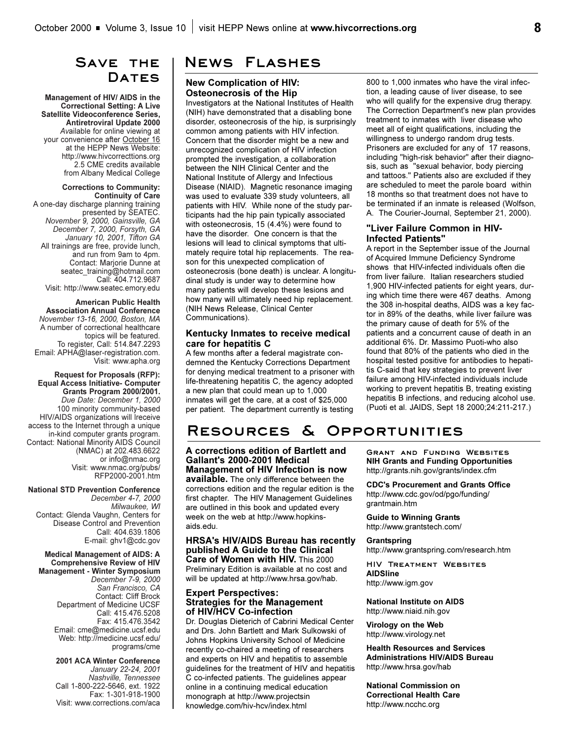# **Save the**  DATES

**Management of HIV/ AIDS in the Correctional Setting: A Live Satellite Videoconference Series, Antiretroviral Update 2000** *Av*ailable for online viewing at your convenience after October 16 at the HEPP News Website: http://www.hivcorrecttions.org 2.5 CME credits available from Albany Medical College

**Corrections to Community: Continuity of Care** A one-day discharge planning training presented by SEATEC. *November 9, 2000, Gainsville, GA December 7, 2000, Forsyth, GA January 10, 2001, Tifton GA* All trainings are free, provide lunch, and run from 9am to 4pm. Contact: Marjorie Dunne at seatec\_training@hotmail.com Call: 404.712.9687 Visit: http://www.seatec.emory.edu

**American Public Health Association Annual Conference** *November 13-16, 2000, Boston, MA* A number of correctional healthcare topics will be featured. To register, Call: 514.847.2293 Email: APHA@laser-registration.com. Visit: www.apha.org

**Request for Proposals (RFP): Equal Access Initiative- Computer Grants Program 2000/2001.** *Due Date: December 1, 2000* 100 minority community-based HIV/AIDS organizations will lreceive access to the Internet through a unique in-kind computer grants program. Contact: National Minority AIDS Council (NMAC) at 202.483.6622 or info@nmac.org Visit: www.nmac.org/pubs/ RFP2000-2001.htm

**National STD Prevention Conference**

*December 4-7, 2000 Milwaukee, WI*  Contact: Glenda Vaughn, Centers for Disease Control and Prevention Call: 404.639.1806 E-mail: ghv1@cdc.gov

**Medical Management of AIDS: A Comprehensive Review of HIV Management - Winter Symposium** *December 7-9, 2000 San Francisco, CA* Contact: Cliff Brock Department of Medicine UCSF Call: 415.476.5208 Fax: 415.476.3542 Email: cme@medicine.ucsf.edu Web: http://medicine.ucsf.edu/ programs/cme

> **2001 ACA Winter Conference**  *January 22-24, 2001 Nashville, Tennessee*  Call 1-800-222-5646, ext. 1922 Fax: 1-301-918-1900 Visit: www.corrections.com/aca

## **News Flashes**

**New Complication of HIV: Osteonecrosis of the Hip**

Investigators at the National Institutes of Health (NIH) have demonstrated that a disabling bone disorder, osteonecrosis of the hip, is surprisingly common among patients with HIV infection. Concern that the disorder might be a new and unrecognized complication of HIV infection prompted the investigation, a collaboration between the NIH Clinical Center and the National Institute of Allergy and Infectious Disease (NIAID). Magnetic resonance imaging was used to evaluate 339 study volunteers, all patients with HIV. While none of the study participants had the hip pain typically associated with osteonecrosis, 15 (4.4%) were found to have the disorder. One concern is that the lesions will lead to clinical symptoms that ultimately require total hip replacements. The reason for this unexpected complication of osteonecrosis (bone death) is unclear. A longitudinal study is under way to determine how many patients will develop these lesions and how many will ultimately need hip replacement. (NIH News Release, Clinical Center Communications).

#### **Kentucky Inmates to receive medical care for hepatitis C**

A few months after a federal magistrate condemned the Kentucky Corrections Department for denying medical treatment to a prisoner with life-threatening hepatitis C, the agency adopted a new plan that could mean up to 1,000 inmates will get the care, at a cost of \$25,000 per patient. The department currently is testing

800 to 1,000 inmates who have the viral infection, a leading cause of liver disease, to see who will qualify for the expensive drug therapy. The Correction Department's new plan provides treatment to inmates with liver disease who meet all of eight qualifications, including the willingness to undergo random drug tests. Prisoners are excluded for any of 17 reasons, including "high-risk behavior" after their diagnosis, such as "sexual behavior, body piercing and tattoos." Patients also are excluded if they are scheduled to meet the parole board within 18 months so that treatment does not have to be terminated if an inmate is released (Wolfson, A. The Courier-Journal, September 21, 2000).

#### **"Liver Failure Common in HIV-Infected Patients"**

A report in the September issue of the Journal of Acquired Immune Deficiency Syndrome shows that HIV-infected individuals often die from liver failure. Italian researchers studied 1,900 HIV-infected patients for eight years, during which time there were 467 deaths. Among the 308 in-hospital deaths, AIDS was a key factor in 89% of the deaths, while liver failure was the primary cause of death for 5% of the patients and a concurrent cause of death in an additional 6%. Dr. Massimo Puoti-who also found that 80% of the patients who died in the hospital tested positive for antibodies to hepatitis C-said that key strategies to prevent liver failure among HIV-infected individuals include working to prevent hepatitis B, treating existing hepatitis B infections, and reducing alcohol use. (Puoti et al. JAIDS, Sept 18 2000;24:211-217.)

# **Resources & Opportunities**

**A corrections edition of Bartlett and Gallant's 2000-2001 Medical Management of HIV Infection is now available.** The only difference between the corrections edition and the regular edition is the first chapter. The HIV Management Guidelines are outlined in this book and updated every week on the web at http://www.hopkinsaids.edu.

**HRSA's HIV/AIDS Bureau has recently published A Guide to the Clinical Care of Women with HIV.** This 2000 Preliminary Edition is available at no cost and will be updated at http://www.hrsa.gov/hab.

#### **Expert Perspectives: Strategies for the Management of HIV/HCV Co-infection**

Dr. Douglas Dieterich of Cabrini Medical Center and Drs. John Bartlett and Mark Sulkowski of Johns Hopkins University School of Medicine recently co-chaired a meeting of researchers and experts on HIV and hepatitis to assemble guidelines for the treatment of HIV and hepatitis C co-infected patients. The guidelines appear online in a continuing medical education monograph at http://www.projectsin knowledge.com/hiv-hcv/index.html

**Grant and Funding Websites NIH Grants and Funding Opportunities** http://grants.nih.gov/grants/index.cfm

**CDC's Procurement and Grants Office** http://www.cdc.gov/od/pgo/funding/ grantmain.htm

**Guide to Winning Grants** http://www.grantstech.com/

**Grantspring** http://www.grantspring.com/research.htm

**HIV Treatment Websites AIDSline** http://www.igm.gov

**National Institute on AIDS** http://www.niaid.nih.gov

**Virology on the Web** http://www.virology.net

**Health Resources and Services Administrations HIV/AIDS Bureau** http://www.hrsa.gov/hab

**National Commission on Correctional Health Care** http://www.ncchc.org